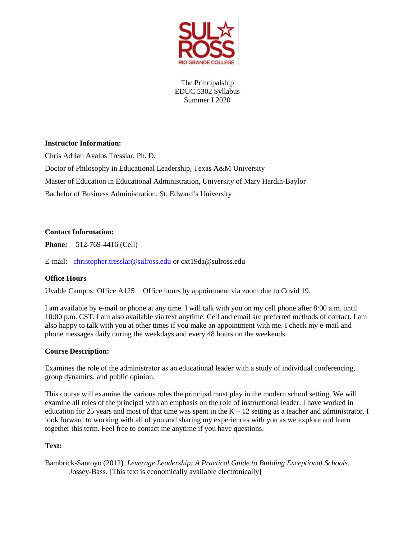

The Principalship EDUC 5302 Syllabus Summer I 2020

# **Instructor Information:**

Chris Adrian Avalos Tresslar, Ph. D.

Doctor of Philosophy in Educational Leadership, Texas A&M University Master of Education in Educational Administration, University of Mary Hardin-Baylor Bachelor of Business Administration, St. Edward's University

# **Contact Information:**

**Phone:** 512-769-4416 (Cell)

E-mail: [christopher.tresslar@sulross.edu](mailto:christopher.tresslar@sulross.edu) or cxt19da@sulross.edu

# **Office Hours**

Uvalde Campus: Office A125 Office hours by appointment via zoom due to Covid 19.

I am available by e-mail or phone at any time. I will talk with you on my cell phone after 8:00 a.m. until 10:00 p.m. CST. I am also available via text anytime. Cell and email are preferred methods of contact. I am also happy to talk with you at other times if you make an appointment with me. I check my e-mail and phone messages daily during the weekdays and every 48 hours on the weekends.

# **Course Description:**

Examines the role of the administrator as an educational leader with a study of individual conferencing, group dynamics, and public opinion.

This course will examine the various roles the principal must play in the modern school setting. We will examine all roles of the principal with an emphasis on the role of instructional leader. I have worked in education for 25 years and most of that time was spent in the  $K - 12$  setting as a teacher and administrator. I look forward to working with all of you and sharing my experiences with you as we explore and learn together this term. Feel free to contact me anytime if you have questions.

# **Text:**

Bambrick-Santoyo (2012). *Leverage Leadership: A Practical Guide to Building Exceptional Schools.*  Jossey-Bass. [This text is economically available electronically]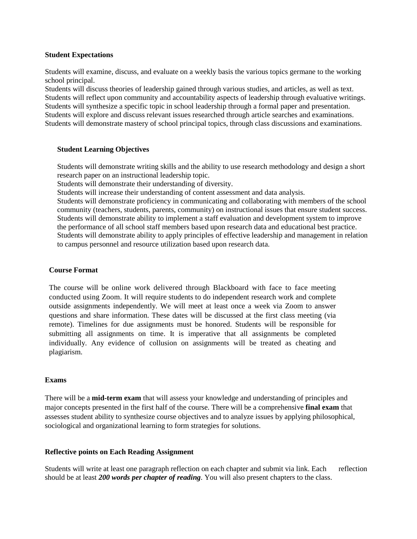#### **Student Expectations**

Students will examine, discuss, and evaluate on a weekly basis the various topics germane to the working school principal.

Students will discuss theories of leadership gained through various studies, and articles, as well as text. Students will reflect upon community and accountability aspects of leadership through evaluative writings. Students will synthesize a specific topic in school leadership through a formal paper and presentation. Students will explore and discuss relevant issues researched through article searches and examinations. Students will demonstrate mastery of school principal topics, through class discussions and examinations.

## **Student Learning Objectives**

Students will demonstrate writing skills and the ability to use research methodology and design a short research paper on an instructional leadership topic.

Students will demonstrate their understanding of diversity.

Students will increase their understanding of content assessment and data analysis.

Students will demonstrate proficiency in communicating and collaborating with members of the school community (teachers, students, parents, community) on instructional issues that ensure student success. Students will demonstrate ability to implement a staff evaluation and development system to improve the performance of all school staff members based upon research data and educational best practice. Students will demonstrate ability to apply principles of effective leadership and management in relation to campus personnel and resource utilization based upon research data.

#### **Course Format**

The course will be online work delivered through Blackboard with face to face meeting conducted using Zoom. It will require students to do independent research work and complete outside assignments independently. We will meet at least once a week via Zoom to answer questions and share information. These dates will be discussed at the first class meeting (via remote). Timelines for due assignments must be honored. Students will be responsible for submitting all assignments on time. It is imperative that all assignments be completed individually. Any evidence of collusion on assignments will be treated as cheating and plagiarism.

#### **Exams**

There will be a **mid-term exam** that will assess your knowledge and understanding of principles and major concepts presented in the first half of the course. There will be a comprehensive **final exam** that assesses student ability to synthesize course objectives and to analyze issues by applying philosophical, sociological and organizational learning to form strategies for solutions.

## **Reflective points on Each Reading Assignment**

Students will write at least one paragraph reflection on each chapter and submit via link. Each reflection should be at least *200 words per chapter of reading*. You will also present chapters to the class.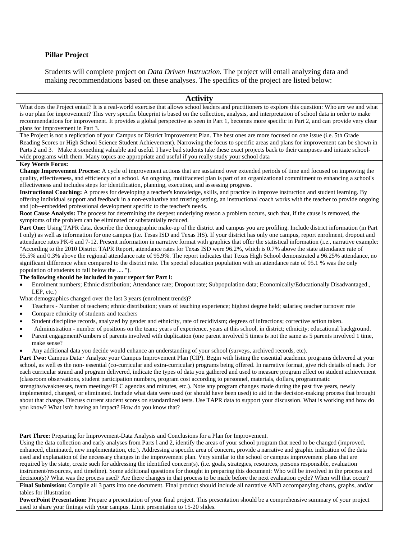#### **Pillar Project**

Students will complete project on *Data Driven Instruction.* The project will entail analyzing data and making recommendations based on these analyses. The specifics of the project are listed below:

#### **Activity**

What does the Project entail? It is a real-world exercise that allows school leaders and practitioners to explore this question: Who are we and what is our plan for improvement? This very specific blueprint is based on the collection, analysis, and interpretation of school data in order to make recommendations for improvement. It provides a global perspective as seen in Part 1, becomes more specific in Part 2, and can provide very clear plans for improvement in Part 3.

The Project is not a replication of your Campus or District Improvement Plan. The best ones are more focused on one issue (i.e. 5th Grade Reading Scores or High School Science Student Achievement). Narrowing the focus to specific areas and plans for improvement can be shown in Parts 2 and 3. Make it something valuable and useful. I have bad students take these exact projects back to their campuses and initiate schoolwide programs with them. Many topics are appropriate and useful if you really study your school data

#### **Key Words Focus:**

**Change Improvement Process:** A cycle of improvement actions that are sustained over extended periods of time and focused on improving the quality, effectiveness, and efficiency of a school. An ongoing, multifaceted plan is part of an organizational commitment to enhancing a school's effectiveness and includes steps for identification, planning, execution, and assessing progress.

**Instructional Coaching:** A process for developing a teacher's knowledge, skills, and practice lo improve instruction and student learning. By offering individual support and feedback in a non-evaluative and trusting setting, an instructional coach works with the teacher to provide ongoing and job--embedded professional development specific to the teacher's needs.

**Root Cause Analysis:** The process for determining the deepest underlying reason a problem occurs, such that, if the cause is removed, the symptoms of the problem can be eliminated or substantially reduced.

**Part One:** Using TAPR data, describe the demographic make-up of the district and campus you are profiling. Include district information (in Part I only) as well as information for one campus (i.e. Tesas ISD and Texas HS). If your district has only one campus, report enrolment, dropout and attendance rates PK-6 and 7-12. Present information in narrative format with graphics that offer the statistical information (i.e., narrative example: "According to the 2010 District TAPR Report, attendance rates for Texas ISD were 96.2%, which is 0.7% above the state attendance rate of 95.5% and 0.3% above the regional attendance rate of 95.9%. The report indicates that Texas High School demonstrated a 96.25% attendance, no significant difference when compared to the district rate. The special education population with an attendance rate of 95.1 % was the only population of students to fall below the .... ").

### **The following should be included in your report for Part l:**

- Enrolment numbers; Ethnic distribution; Attendance rate; Dropout rate; Subpopulation data; Economically/Educationally Disadvantaged., LEP, etc.)
- What demographics changed over the last 3 years (enrolment trends)?
- Teachers Number of teachers; ethnic distribution; years of teaching experience; highest degree held; salaries; teacher turnover rate
- Compare ethnicity of students and teachers
- Student discipline records, analyzed by gender and ethnicity, rate of recidivism; degrees of infractions; corrective action taken.
- Administration number of positions on the team; years of experience, years at this school, in district; ethnicity; educational background.
- Parent engagementNumbers of parents involved with duplication (one parent involved 5 times is not the same as 5 parents involved 1 time, make sense?
- Any additional data you decide would enhance an understanding of your school (surveys, archived records, etc).

**Part Two:** Campus Data: Analyze your Campus Improvement Plan (CIP). Begin with listing the essential academic programs delivered at your school, as well es the non- essential (co-curricular and extra-curricular) programs being offered. In narrative format, give rich details of each. For each curricular strand and program delivered, indicate the types of data you gathered and used to measure program effect on student achievement (classroom observations, student participation numbers, program cost according to personnel, materials, dollars, programmatic strengths/weaknesses, team meetings/PLC agendas and minutes, etc.). Note any program changes made during the past five years, newly

implemented, changed, or eliminated. Include what data were used (or should have been used) to aid in the decision-making process that brought about that change. Discuss current student scores on standardized tests. Use TAPR data to support your discussion. What is working and how do you know? What isn't having an impact? How do you know that?

**Part Three:** Preparing for Improvement-Data Analysis and Conclusions for a Plan for Improvement.

Using the data collection and early analyses from Parts l and 2, identify the areas of your school program that need to be changed (improved, enhanced, eliminated, new implementation, etc.). Addressing a specific area of concern, provide a narrative and graphic indication of the data used and explanation of the necessary changes in the improvement plan. Very similar to the school or campus improvement plans that are required by the state, create such for addressing the identified concern(s). (i.e. goals, strategies, resources, persons responsible, evaluation instrument/resources, and timeline). Some additional questions for thought in preparing this document: Who will be involved in the process and decision(s)? What was the process used? Are there changes in that process to be made before the next evaluation cycle? When will that occur?

**Final Submission:** Compile all 3 parts into one document. Final product should include all narrative AND accompanying charts, graphs, and/or tables for illustration

**PowerPoint Presentation:** Prepare a presentation of your final project. This presentation should be a comprehensive summary of your project used to share your finings with your campus. Limit presentation to 15-20 slides.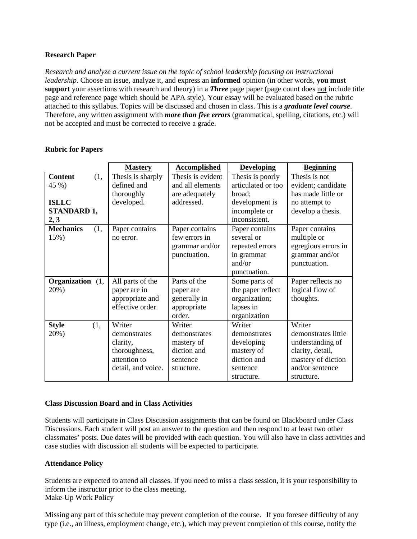# **Research Paper**

*Research and analyze a current issue on the topic of school leadership focusing on instructional leadership.* Choose an issue, analyze it, and express an **informed** opinion (in other words, **you must support** your assertions with research and theory) in a *Three* page paper (page count does not include title page and reference page which should be APA style). Your essay will be evaluated based on the rubric attached to this syllabus. Topics will be discussed and chosen in class. This is a *graduate level course*. Therefore, any written assignment with *more than five errors* (grammatical, spelling, citations, etc.) will not be accepted and must be corrected to receive a grade.

|                                            | <b>Mastery</b>                                                                            | <b>Accomplished</b>                                                           | <b>Developing</b>                                                                           | <b>Beginning</b>                                                                                                             |
|--------------------------------------------|-------------------------------------------------------------------------------------------|-------------------------------------------------------------------------------|---------------------------------------------------------------------------------------------|------------------------------------------------------------------------------------------------------------------------------|
| <b>Content</b><br>(1,<br>45 %)             | Thesis is sharply<br>defined and<br>thoroughly                                            | Thesis is evident<br>and all elements<br>are adequately                       | Thesis is poorly<br>articulated or too<br>broad;                                            | Thesis is not<br>evident; candidate<br>has made little or                                                                    |
| <b>ISLLC</b><br><b>STANDARD 1,</b><br>2, 3 | developed.                                                                                | addressed.                                                                    | development is<br>incomplete or<br>inconsistent.                                            | no attempt to<br>develop a thesis.                                                                                           |
| <b>Mechanics</b><br>(1,<br>15%)            | Paper contains<br>no error.                                                               | Paper contains<br>few errors in<br>grammar and/or<br>punctuation.             | Paper contains<br>several or<br>repeated errors<br>in grammar<br>and/or<br>punctuation.     | Paper contains<br>multiple or<br>egregious errors in<br>grammar and/or<br>punctuation.                                       |
| Organization (1,<br>20%)                   | All parts of the<br>paper are in<br>appropriate and<br>effective order.                   | Parts of the<br>paper are<br>generally in<br>appropriate<br>order.            | Some parts of<br>the paper reflect<br>organization;<br>lapses in<br>organization            | Paper reflects no<br>logical flow of<br>thoughts.                                                                            |
| <b>Style</b><br>(1,<br>20%)                | Writer<br>demonstrates<br>clarity,<br>thoroughness,<br>attention to<br>detail, and voice. | Writer<br>demonstrates<br>mastery of<br>diction and<br>sentence<br>structure. | Writer<br>demonstrates<br>developing<br>mastery of<br>diction and<br>sentence<br>structure. | Writer<br>demonstrates little<br>understanding of<br>clarity, detail,<br>mastery of diction<br>and/or sentence<br>structure. |

# **Rubric for Papers**

## **Class Discussion Board and in Class Activities**

Students will participate in Class Discussion assignments that can be found on Blackboard under Class Discussions. Each student will post an answer to the question and then respond to at least two other classmates' posts. Due dates will be provided with each question. You will also have in class activities and case studies with discussion all students will be expected to participate.

## **Attendance Policy**

Students are expected to attend all classes. If you need to miss a class session, it is your responsibility to inform the instructor prior to the class meeting. Make-Up Work Policy

Missing any part of this schedule may prevent completion of the course. If you foresee difficulty of any type (i.e., an illness, employment change, etc.), which may prevent completion of this course, notify the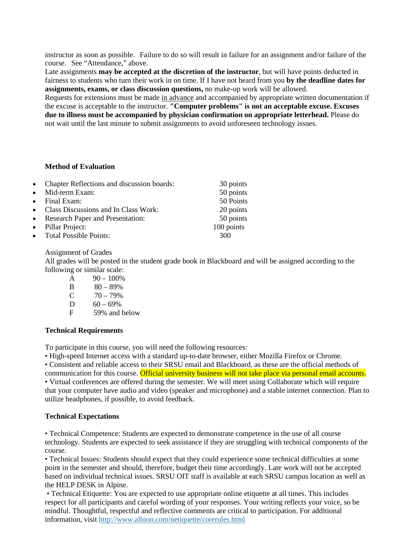instructor as soon as possible. Failure to do so will result in failure for an assignment and/or failure of the course. See "Attendance," above.

Late assignments **may be accepted at the discretion of the instructor**, but will have points deducted in fairness to students who turn their work in on time. If I have not heard from you **by the deadline dates for assignments, exams, or class discussion questions,** no make-up work will be allowed.

Requests for extensions must be made in advance and accompanied by appropriate written documentation if the excuse is acceptable to the instructor. **"Computer problems" is not an acceptable excuse. Excuses due to illness must be accompanied by physician confirmation on appropriate letterhead.** Please do not wait until the last minute to submit assignments to avoid unforeseen technology issues.

#### **Method of Evaluation**

| • Chapter Reflections and discussion boards: | 30 points  |
|----------------------------------------------|------------|
| • Mid-term Exam:                             | 50 points  |
| $\bullet$ Final Exam:                        | 50 Points  |
| • Class Discussions and In Class Work:       | 20 points  |
| • Research Paper and Presentation:           | 50 points  |
| • Pillar Project:                            | 100 points |
| • Total Possible Points:                     | 300        |

#### Assignment of Grades

All grades will be posted in the student grade book in Blackboard and will be assigned according to the following or similar scale:

- A  $90 100\%$
- B  $80 89\%$
- C  $70 79%$
- D  $60 69\%$
- F 59% and below

## **Technical Requirements**

To participate in this course, you will need the following resources:

• High-speed Internet access with a standard up-to-date browser, either Mozilla Firefox or Chrome.

• Consistent and reliable access to their SRSU email and Blackboard, as these are the official methods of communication for this course. Official university business will not take place via personal email accounts. • Virtual conferences are offered during the semester. We will meet using Collaborate which will require that your computer have audio and video (speaker and microphone) and a stable internet connection. Plan to utilize headphones, if possible, to avoid feedback.

## **Technical Expectations**

• Technical Competence: Students are expected to demonstrate competence in the use of all course technology. Students are expected to seek assistance if they are struggling with technical components of the course.

• Technical Issues: Students should expect that they could experience some technical difficulties at some point in the semester and should, therefore, budget their time accordingly. Late work will not be accepted based on individual technical issues. SRSU OIT staff is available at each SRSU campus location as well as the HELP DESK in Alpine.

• Technical Etiquette: You are expected to use appropriate online etiquette at all times. This includes respect for all participants and careful wording of your responses. Your writing reflects your voice, so be mindful. Thoughtful, respectful and reflective comments are critical to participation. For additional information, visit <http://www.albion.com/netiquette/corerules.html>